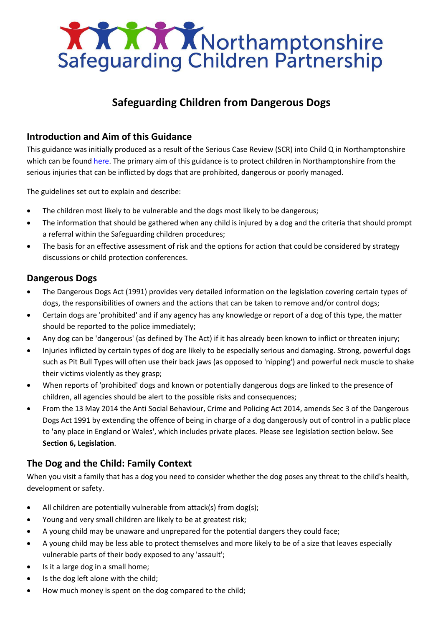

# **Safeguarding Children from Dangerous Dogs**

# **Introduction and Aim of this Guidance**

This guidance was initially produced as a result of the Serious Case Review (SCR) into Child Q in Northamptonshire which can be found [here.](http://www.northamptonshirescb.org.uk/about-northamptonshire-safeguarding-children-partnership/scr/childq-serious-case-review/) The primary aim of this guidance is to protect children in Northamptonshire from the serious injuries that can be inflicted by dogs that are prohibited, dangerous or poorly managed.

The guidelines set out to explain and describe:

- The children most likely to be vulnerable and the dogs most likely to be dangerous;
- The information that should be gathered when any child is injured by a dog and the criteria that should prompt a referral within the Safeguarding children procedures;
- The basis for an effective assessment of risk and the options for action that could be considered by strategy discussions or child protection conferences.

# **Dangerous Dogs**

- The Dangerous Dogs Act (1991) provides very detailed information on the legislation covering certain types of dogs, the responsibilities of owners and the actions that can be taken to remove and/or control dogs;
- Certain dogs are 'prohibited' and if any agency has any knowledge or report of a dog of this type, the matter should be reported to the police immediately;
- Any dog can be 'dangerous' (as defined by The Act) if it has already been known to inflict or threaten injury;
- Injuries inflicted by certain types of dog are likely to be especially serious and damaging. Strong, powerful dogs such as Pit Bull Types will often use their back jaws (as opposed to 'nipping') and powerful neck muscle to shake their victims violently as they grasp;
- When reports of 'prohibited' dogs and known or potentially dangerous dogs are linked to the presence of children, all agencies should be alert to the possible risks and consequences;
- From the 13 May 2014 the Anti Social Behaviour, Crime and Policing Act 2014, amends Sec 3 of the Dangerous Dogs Act 1991 by extending the offence of being in charge of a dog dangerously out of control in a public place to 'any place in England or Wales', which includes private places. Please see legislation section below. See **Section 6, Legislation**.

# **The Dog and the Child: Family Context**

When you visit a family that has a dog you need to consider whether the dog poses any threat to the child's health, development or safety.

- All children are potentially vulnerable from attack(s) from dog(s);
- Young and very small children are likely to be at greatest risk;
- A young child may be unaware and unprepared for the potential dangers they could face;
- A young child may be less able to protect themselves and more likely to be of a size that leaves especially vulnerable parts of their body exposed to any 'assault';
- Is it a large dog in a small home;
- Is the dog left alone with the child;
- How much money is spent on the dog compared to the child;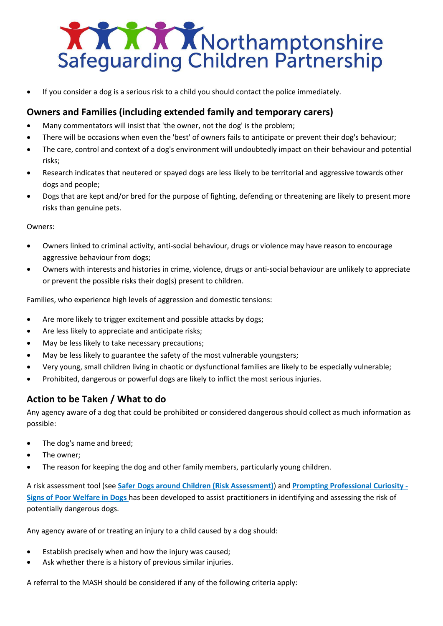

• If you consider a dog is a serious risk to a child you should contact the police immediately.

# **Owners and Families (including extended family and temporary carers)**

- Many commentators will insist that 'the owner, not the dog' is the problem;
- There will be occasions when even the 'best' of owners fails to anticipate or prevent their dog's behaviour;
- The care, control and context of a dog's environment will undoubtedly impact on their behaviour and potential risks;
- Research indicates that neutered or spayed dogs are less likely to be territorial and aggressive towards other dogs and people;
- Dogs that are kept and/or bred for the purpose of fighting, defending or threatening are likely to present more risks than genuine pets.

### Owners:

- Owners linked to criminal activity, anti-social behaviour, drugs or violence may have reason to encourage aggressive behaviour from dogs;
- Owners with interests and histories in crime, violence, drugs or anti-social behaviour are unlikely to appreciate or prevent the possible risks their dog(s) present to children.

Families, who experience high levels of aggression and domestic tensions:

- Are more likely to trigger excitement and possible attacks by dogs;
- Are less likely to appreciate and anticipate risks;
- May be less likely to take necessary precautions;
- May be less likely to guarantee the safety of the most vulnerable youngsters;
- Very young, small children living in chaotic or dysfunctional families are likely to be especially vulnerable;
- Prohibited, dangerous or powerful dogs are likely to inflict the most serious injuries.

# **Action to be Taken / What to do**

Any agency aware of a dog that could be prohibited or considered dangerous should collect as much information as possible:

- The dog's name and breed;
- The owner;
- The reason for keeping the dog and other family members, particularly young children.

A risk assessment tool (see **Safer Dogs around Children (Risk Assessment)**) and **Prompting Professional Curiosity - Signs of Poor Welfare in Dogs** has been developed to assist practitioners in identifying and assessing the risk of potentially dangerous dogs.

Any agency aware of or treating an injury to a child caused by a dog should:

- Establish precisely when and how the injury was caused;
- Ask whether there is a history of previous similar injuries.

A referral to the MASH should be considered if any of the following criteria apply: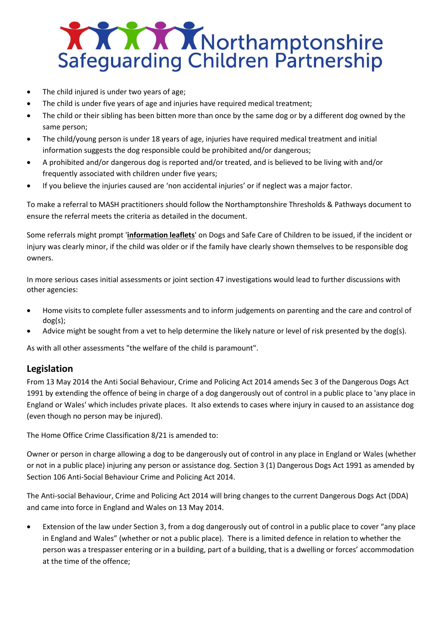

- The child injured is under two years of age;
- The child is under five years of age and injuries have required medical treatment;
- The child or their sibling has been bitten more than once by the same dog or by a different dog owned by the same person;
- The child/young person is under 18 years of age, injuries have required medical treatment and initial information suggests the dog responsible could be prohibited and/or dangerous;
- A prohibited and/or dangerous dog is reported and/or treated, and is believed to be living with and/or frequently associated with children under five years;
- If you believe the injuries caused are 'non accidental injuries' or if neglect was a major factor.

To make a referral to MASH practitioners should follow the Northamptonshire Thresholds & Pathways document to ensure the referral meets the criteria as detailed in the document.

Some referrals might prompt '**[information leaflets](https://greatermanchesterscb.proceduresonline.com/chapters/p_dangerous_dogs.html#info)**' on Dogs and Safe Care of Children to be issued, if the incident or injury was clearly minor, if the child was older or if the family have clearly shown themselves to be responsible dog owners.

In more serious cases initial assessments or joint section 47 investigations would lead to further discussions with other agencies:

- Home visits to complete fuller assessments and to inform judgements on parenting and the care and control of dog(s);
- Advice might be sought from a vet to help determine the likely nature or level of risk presented by the dog(s).

As with all other assessments "the welfare of the child is paramount".

# **Legislation**

From 13 May 2014 the Anti Social Behaviour, Crime and Policing Act 2014 amends Sec 3 of the Dangerous Dogs Act 1991 by extending the offence of being in charge of a dog dangerously out of control in a public place to 'any place in England or Wales' which includes private places. It also extends to cases where injury in caused to an assistance dog (even though no person may be injured).

The Home Office Crime Classification 8/21 is amended to:

Owner or person in charge allowing a dog to be dangerously out of control in any place in England or Wales (whether or not in a public place) injuring any person or assistance dog. Section 3 (1) Dangerous Dogs Act 1991 as amended by Section 106 Anti-Social Behaviour Crime and Policing Act 2014.

The Anti-social Behaviour, Crime and Policing Act 2014 will bring changes to the current Dangerous Dogs Act (DDA) and came into force in England and Wales on 13 May 2014.

• Extension of the law under Section 3, from a dog dangerously out of control in a public place to cover "any place in England and Wales" (whether or not a public place). There is a limited defence in relation to whether the person was a trespasser entering or in a building, part of a building, that is a dwelling or forces' accommodation at the time of the offence;